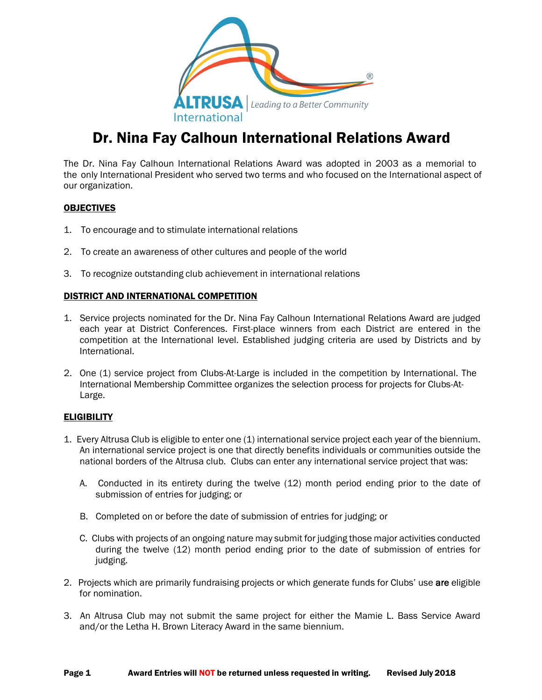

# Dr. Nina Fay Calhoun International Relations Award

The Dr. Nina Fay Calhoun International Relations Award was adopted in 2003 as a memorial to the only International President who served two terms and who focused on the International aspect of our organization.

### **OBJECTIVES**

- 1. To encourage and to stimulate international relations
- 2. To create an awareness of other cultures and people of the world
- 3. To recognize outstanding club achievement in international relations

### DISTRICT AND INTERNATIONAL COMPETITION

- 1. Service projects nominated for the Dr. Nina Fay Calhoun International Relations Award are judged each year at District Conferences. First-place winners from each District are entered in the competition at the International level. Established judging criteria are used by Districts and by International.
- 2. One (1) service project from Clubs-At-Large is included in the competition by International. The International Membership Committee organizes the selection process for projects for Clubs-At-Large.

#### **ELIGIBILITY**

- 1. Every Altrusa Club is eligible to enter one (1) international service project each year of the biennium. An international service project is one that directly benefits individuals or communities outside the national borders of the Altrusa club. Clubs can enter any international service project that was:
	- A. Conducted in its entirety during the twelve (12) month period ending prior to the date of submission of entries for judging; or
	- B. Completed on or before the date of submission of entries for judging; or
	- C. Clubs with projects of an ongoing nature may submit for judging those major activities conducted during the twelve (12) month period ending prior to the date of submission of entries for judging.
- 2. Projects which are primarily fundraising projects or which generate funds for Clubs' use are eligible for nomination.
- 3. An Altrusa Club may not submit the same project for either the Mamie L. Bass Service Award and/or the Letha H. Brown Literacy Award in the same biennium.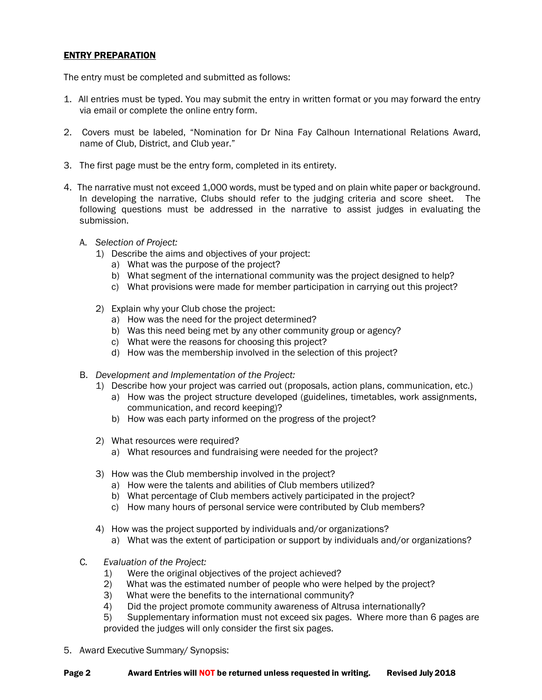### ENTRY PREPARATION

The entry must be completed and submitted as follows:

- 1. All entries must be typed. You may submit the entry in written format or you may forward the entry via email or complete the online entry form.
- 2. Covers must be labeled, "Nomination for Dr Nina Fay Calhoun International Relations Award, name of Club, District, and Club year."
- 3. The first page must be the entry form, completed in its entirety.
- 4. The narrative must not exceed 1,000 words, must be typed and on plain white paper or background. In developing the narrative, Clubs should refer to the judging criteria and score sheet. The following questions must be addressed in the narrative to assist judges in evaluating the submission.
	- A. *Selection of Project:*
		- 1) Describe the aims and objectives of your project:
			- a) What was the purpose of the project?
			- b) What segment of the international community was the project designed to help?
			- c) What provisions were made for member participation in carrying out this project?
		- 2) Explain why your Club chose the project:
			- a) How was the need for the project determined?
			- b) Was this need being met by any other community group or agency?
			- c) What were the reasons for choosing this project?
			- d) How was the membership involved in the selection of this project?
	- B. *Development and Implementation of the Project:*
		- 1) Describe how your project was carried out (proposals, action plans, communication, etc.)
			- a) How was the project structure developed (guidelines, timetables, work assignments, communication, and record keeping)?
			- b) How was each party informed on the progress of the project?
		- 2) What resources were required?
			- a) What resources and fundraising were needed for the project?
		- 3) How was the Club membership involved in the project?
			- a) How were the talents and abilities of Club members utilized?
			- b) What percentage of Club members actively participated in the project?
			- c) How many hours of personal service were contributed by Club members?
		- 4) How was the project supported by individuals and/or organizations?
			- a) What was the extent of participation or support by individuals and/or organizations?
	- C*. Evaluation of the Project:*
		- 1) Were the original objectives of the project achieved?
		- 2) What was the estimated number of people who were helped by the project?
		- 3) What were the benefits to the international community?
		- 4) Did the project promote community awareness of Altrusa internationally?
		- 5) Supplementary information must not exceed six pages. Where more than 6 pages are provided the judges will only consider the first six pages.
- 5. Award Executive Summary/ Synopsis: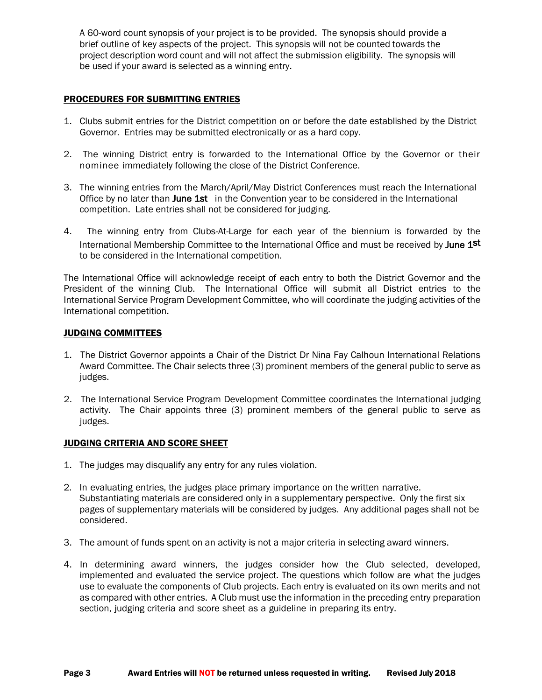A 60-word count synopsis of your project is to be provided. The synopsis should provide a brief outline of key aspects of the project. This synopsis will not be counted towards the project description word count and will not affect the submission eligibility. The synopsis will be used if your award is selected as a winning entry.

### PROCEDURES FOR SUBMITTING ENTRIES

- 1. Clubs submit entries for the District competition on or before the date established by the District Governor. Entries may be submitted electronically or as a hard copy.
- 2. The winning District entry is forwarded to the International Office by the Governor or their nominee immediately following the close of the District Conference.
- 3. The winning entries from the March/April/May District Conferences must reach the International Office by no later than June 1st in the Convention year to be considered in the International competition. Late entries shall not be considered for judging.
- 4. The winning entry from Clubs-At-Large for each year of the biennium is forwarded by the International Membership Committee to the International Office and must be received by June 1st to be considered in the International competition.

The International Office will acknowledge receipt of each entry to both the District Governor and the President of the winning Club. The International Office will submit all District entries to the International Service Program Development Committee, who will coordinate the judging activities of the International competition.

### JUDGING COMMITTEES

- 1. The District Governor appoints a Chair of the District Dr Nina Fay Calhoun International Relations Award Committee. The Chair selects three (3) prominent members of the general public to serve as judges.
- 2. The International Service Program Development Committee coordinates the International judging activity. The Chair appoints three (3) prominent members of the general public to serve as judges.

### JUDGING CRITERIA AND SCORE SHEET

- 1. The judges may disqualify any entry for any rules violation.
- 2. In evaluating entries, the judges place primary importance on the written narrative. Substantiating materials are considered only in a supplementary perspective. Only the first six pages of supplementary materials will be considered by judges. Any additional pages shall not be considered.
- 3. The amount of funds spent on an activity is not a major criteria in selecting award winners.
- 4. In determining award winners, the judges consider how the Club selected, developed, implemented and evaluated the service project. The questions which follow are what the judges use to evaluate the components of Club projects. Each entry is evaluated on its own merits and not as compared with other entries. A Club must use the information in the preceding entry preparation section, judging criteria and score sheet as a guideline in preparing its entry.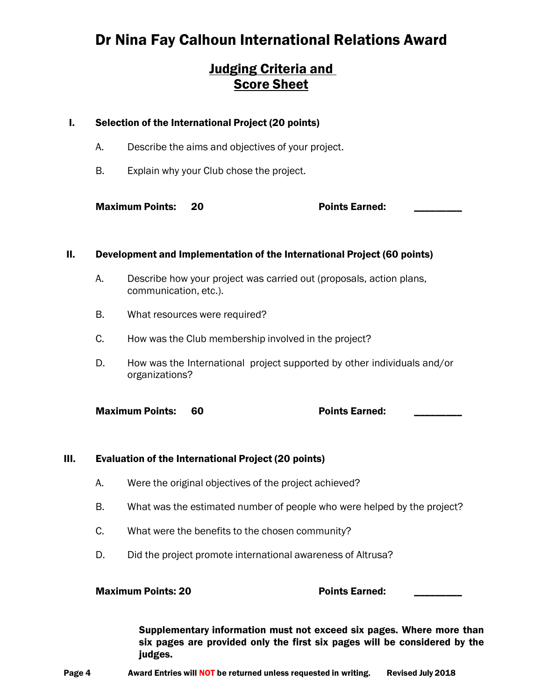# Dr Nina Fay Calhoun International Relations Award

### Judging Criteria and Score Sheet

### I. Selection of the International Project (20 points)

- A. Describe the aims and objectives of your project.
- B. Explain why your Club chose the project.

Maximum Points: 20 **Points Earned:** 20

### II. Development and Implementation of the International Project (60 points)

- A. Describe how your project was carried out (proposals, action plans, communication, etc.).
- B. What resources were required?
- C. How was the Club membership involved in the project?
- D. How was the International project supported by other individuals and/or organizations?

Maximum Points: 60 **Points** Earned:

### III. Evaluation of the International Project (20 points)

- A. Were the original objectives of the project achieved?
- B. What was the estimated number of people who were helped by the project?
- C. What were the benefits to the chosen community?
- D. Did the project promote international awareness of Altrusa?

### Maximum Points: 20 and the control of Points Earned:

Supplementary information must not exceed six pages. Where more than six pages are provided only the first six pages will be considered by the judges.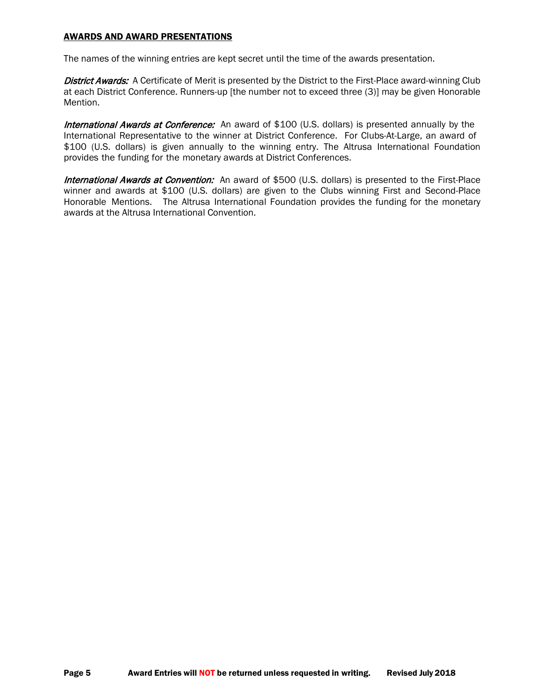### AWARDS AND AWARD PRESENTATIONS

The names of the winning entries are kept secret until the time of the awards presentation.

District Awards: A Certificate of Merit is presented by the District to the First-Place award-winning Club at each District Conference. Runners-up [the number not to exceed three (3)] may be given Honorable Mention.

International Awards at Conference: An award of \$100 (U.S. dollars) is presented annually by the International Representative to the winner at District Conference. For Clubs-At-Large, an award of \$100 (U.S. dollars) is given annually to the winning entry. The Altrusa International Foundation provides the funding for the monetary awards at District Conferences.

International Awards at Convention: An award of \$500 (U.S. dollars) is presented to the First-Place winner and awards at \$100 (U.S. dollars) are given to the Clubs winning First and Second-Place Honorable Mentions. The Altrusa International Foundation provides the funding for the monetary awards at the Altrusa International Convention.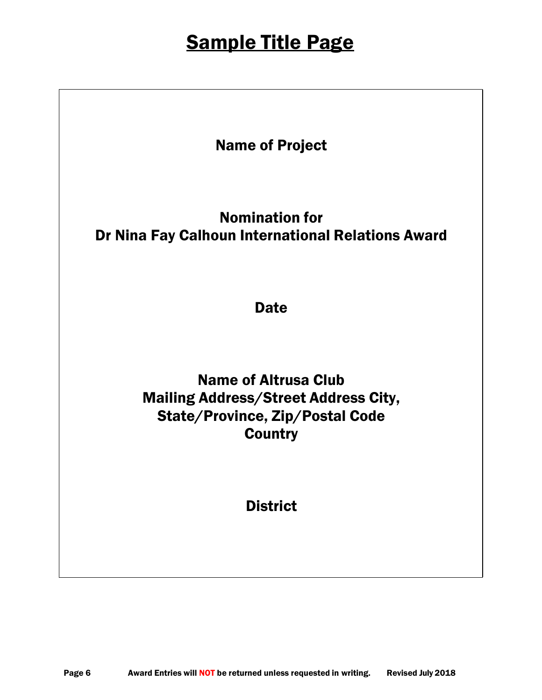# Sample Title Page

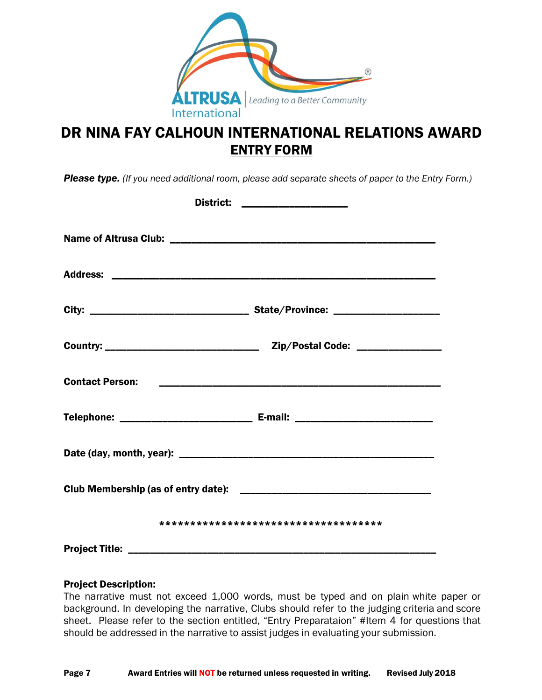

# DR NINA FAY CALHOUN INTERNATIONAL RELATIONS AWARD ENTRY FORM

*Please type. (If you need additional room, please add separate sheets of paper to the Entry Form.)*

|                                       | District: _____________________ |
|---------------------------------------|---------------------------------|
|                                       |                                 |
|                                       |                                 |
|                                       |                                 |
|                                       |                                 |
|                                       |                                 |
|                                       |                                 |
|                                       |                                 |
|                                       |                                 |
| ************************************* |                                 |
|                                       |                                 |

### Project Description:

The narrative must not exceed 1,000 words, must be typed and on plain white paper or background. In developing the narrative, Clubs should refer to the judging criteria and score sheet. Please refer to the section entitled, "Entry Preparataion" #Item 4 for questions that should be addressed in the narrative to assist judges in evaluating your submission.